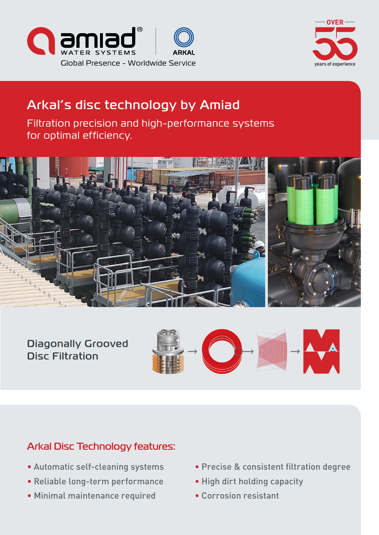



# Arkal's disc technology by Amiad

Filtration precision and high-performance systems for optimal efficiency.



Diagonally Grooved **Disc Filtration** 



# Arkal Disc Technology features:

- Automatic self-cleaning systems
- Reliable long-term performance
- Minimal maintenance required
- Precise & consistent filtration degree
- High dirt holding capacity
- Corrosion resistant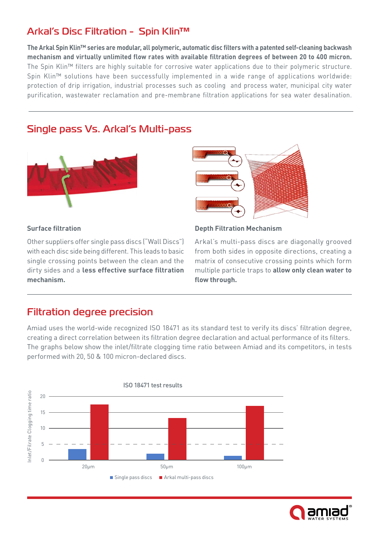# Arkal's Disc Filtration - Spin Klin™

The Arkal Spin Klin<sup>™</sup> series are modular, all polymeric, automatic disc filters with a patented self-cleaning backwash mechanism and virtually unlimited flow rates with available filtration degrees of between 20 to 400 micron. The Spin Klin™ filters are highly suitable for corrosive water applications due to their polymeric structure. Spin Klin™ solutions have been successfully implemented in a wide range of applications worldwide: protection of drip irrigation, industrial processes such as cooling and process water, municipal city water purification, wastewater reclamation and pre-membrane filtration applications for sea water desalination.

### Single pass Vs. Arkal's Multi-pass



#### **Surface filtration**

Other suppliers offer single pass discs ("Wall Discs") with each disc side being different. This leads to basic single crossing points between the clean and the dirty sides and a less effective surface filtration **.mechanism**



#### **Depth Filtration Mechanism**

Arkal's multi-pass discs are diagonally grooved from both sides in opposite directions, creating a matrix of consecutive crossing points which form multiple particle traps to **allow only clean water to** flow through.

#### **Filtration degree precision**

Amiad uses the world-wide recognized ISO 18471 as its standard test to verify its discs' filtration degree, creating a direct correlation between its filtration degree declaration and actual performance of its filters. The graphs below show the inlet/filtrate clogging time ratio between Amiad and its competitors, in tests performed with 20, 50 & 100 micron-declared discs.



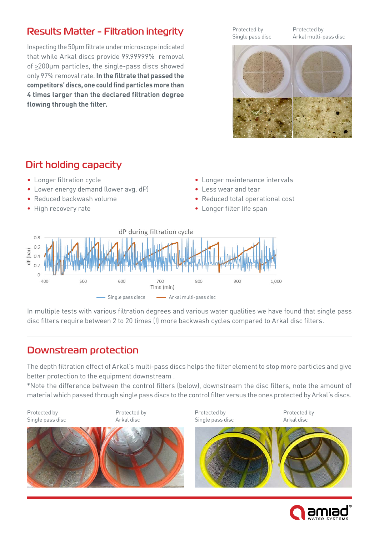# Results Matter - Filtration integrity

Inspecting the 50um filtrate under microscope indicated that while Arkal discs provide 99.99999% removal of >200µm particles, the single-pass discs showed only 97% removal rate. In the filtrate that passed the competitors' discs, one could find particles more than **4 times larger than the declared filtration degree** flowing through the filter.

Protected by Single pass disc Protected by Arkal multi-pass disc



# Dirt holding capacity

- Longer filtration cycle
- Lower energy demand (lower avg. dP)
- Reduced backwash volume
- High recovery rate
- Longer maintenance intervals
- Less wear and tear
- Reduced total operational cost
- Longer filter life span



In multiple tests with various filtration degrees and various water qualities we have found that single pass disc filters require between 2 to 20 times (!) more backwash cycles compared to Arkal disc filters.

# Downstream protection

The depth filtration effect of Arkal's multi-pass discs helps the filter element to stop more particles and give better protection to the equipment downstream.

\*Note the difference between the control filters (below), downstream the disc filters, note the amount of .material which passed through single pass discs to the control filter versus the ones protected by Arkal's discs.



Protected by Single pass disc Protected by Arkal disc